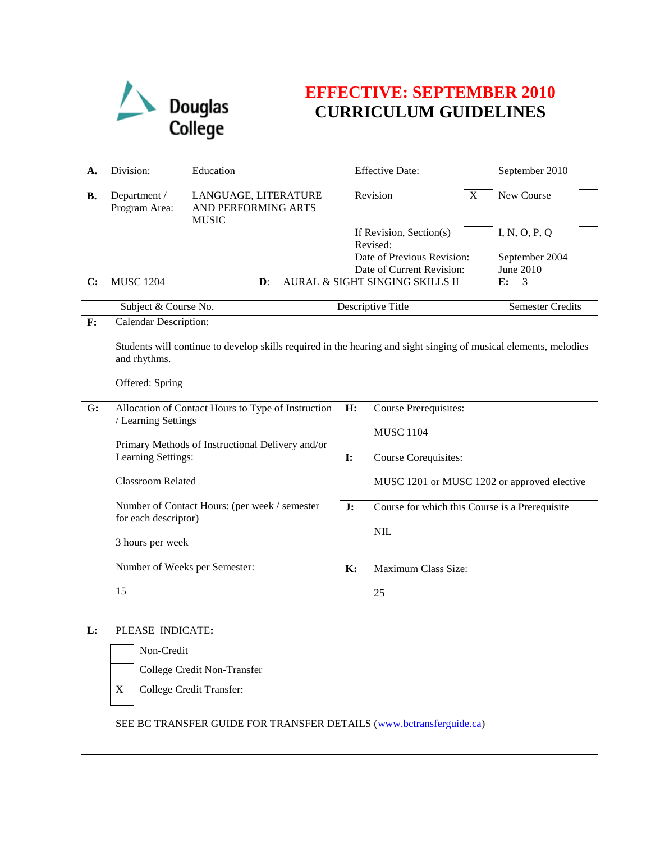

## **EFFECTIVE: SEPTEMBER 2010 CURRICULUM GUIDELINES**

| А. | Division:                                                                                                                                           | Education                                                                                                                                                                                       |    | <b>Effective Date:</b>                                                                                                            |                     | September 2010                                          |  |  |
|----|-----------------------------------------------------------------------------------------------------------------------------------------------------|-------------------------------------------------------------------------------------------------------------------------------------------------------------------------------------------------|----|-----------------------------------------------------------------------------------------------------------------------------------|---------------------|---------------------------------------------------------|--|--|
| В. | Department /<br>Program Area:                                                                                                                       | LANGUAGE, LITERATURE<br>AND PERFORMING ARTS<br><b>MUSIC</b>                                                                                                                                     |    | Revision                                                                                                                          | X                   | New Course                                              |  |  |
| C: | <b>MUSC 1204</b>                                                                                                                                    | $\mathbf{D}$ :                                                                                                                                                                                  |    | If Revision, Section(s)<br>Revised:<br>Date of Previous Revision:<br>Date of Current Revision:<br>AURAL & SIGHT SINGING SKILLS II |                     | I, N, O, P, Q<br>September 2004<br>June 2010<br>E:<br>3 |  |  |
|    | Subject & Course No.                                                                                                                                |                                                                                                                                                                                                 |    | Descriptive Title                                                                                                                 |                     | Semester Credits                                        |  |  |
| F: | Calendar Description:                                                                                                                               |                                                                                                                                                                                                 |    |                                                                                                                                   |                     |                                                         |  |  |
|    | Students will continue to develop skills required in the hearing and sight singing of musical elements, melodies<br>and rhythms.<br>Offered: Spring |                                                                                                                                                                                                 |    |                                                                                                                                   |                     |                                                         |  |  |
|    |                                                                                                                                                     |                                                                                                                                                                                                 |    |                                                                                                                                   |                     |                                                         |  |  |
| G: | Allocation of Contact Hours to Type of Instruction<br>/ Learning Settings                                                                           |                                                                                                                                                                                                 |    | <b>Course Prerequisites:</b><br>H:<br><b>MUSC 1104</b>                                                                            |                     |                                                         |  |  |
|    |                                                                                                                                                     |                                                                                                                                                                                                 |    |                                                                                                                                   |                     |                                                         |  |  |
|    |                                                                                                                                                     | Primary Methods of Instructional Delivery and/or<br>Learning Settings:<br><b>Classroom Related</b><br>Number of Contact Hours: (per week / semester<br>for each descriptor)<br>3 hours per week |    | Course Corequisites:                                                                                                              |                     |                                                         |  |  |
|    |                                                                                                                                                     |                                                                                                                                                                                                 |    | MUSC 1201 or MUSC 1202 or approved elective                                                                                       |                     |                                                         |  |  |
|    |                                                                                                                                                     |                                                                                                                                                                                                 |    | J:<br>Course for which this Course is a Prerequisite<br>$\text{NIL}$                                                              |                     |                                                         |  |  |
|    |                                                                                                                                                     |                                                                                                                                                                                                 |    |                                                                                                                                   |                     |                                                         |  |  |
|    | Number of Weeks per Semester:                                                                                                                       |                                                                                                                                                                                                 | K: |                                                                                                                                   | Maximum Class Size: |                                                         |  |  |
|    | 15                                                                                                                                                  |                                                                                                                                                                                                 |    | 25                                                                                                                                |                     |                                                         |  |  |
|    |                                                                                                                                                     |                                                                                                                                                                                                 |    |                                                                                                                                   |                     |                                                         |  |  |
| L: | PLEASE INDICATE:                                                                                                                                    |                                                                                                                                                                                                 |    |                                                                                                                                   |                     |                                                         |  |  |
|    | Non-Credit                                                                                                                                          |                                                                                                                                                                                                 |    |                                                                                                                                   |                     |                                                         |  |  |
|    | College Credit Non-Transfer                                                                                                                         |                                                                                                                                                                                                 |    |                                                                                                                                   |                     |                                                         |  |  |
|    | $\mathbf X$                                                                                                                                         | College Credit Transfer:                                                                                                                                                                        |    |                                                                                                                                   |                     |                                                         |  |  |
|    |                                                                                                                                                     |                                                                                                                                                                                                 |    |                                                                                                                                   |                     |                                                         |  |  |
|    | SEE BC TRANSFER GUIDE FOR TRANSFER DETAILS (www.bctransferguide.ca)                                                                                 |                                                                                                                                                                                                 |    |                                                                                                                                   |                     |                                                         |  |  |
|    |                                                                                                                                                     |                                                                                                                                                                                                 |    |                                                                                                                                   |                     |                                                         |  |  |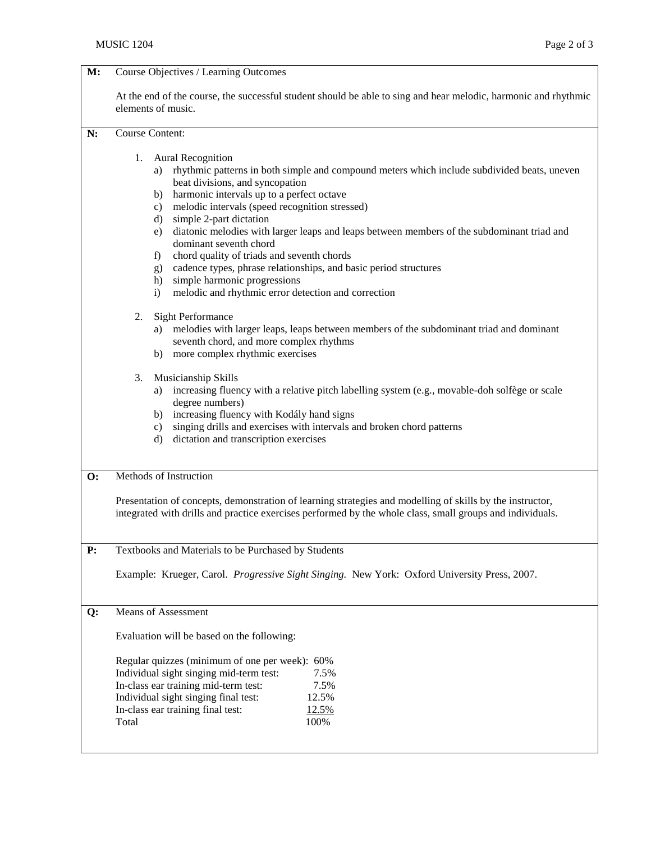| M:             | Course Objectives / Learning Outcomes                                                                                                                                                                                                                                                                                                                                                                                                                                                                                                                                                                                                                                                 |  |  |  |  |  |
|----------------|---------------------------------------------------------------------------------------------------------------------------------------------------------------------------------------------------------------------------------------------------------------------------------------------------------------------------------------------------------------------------------------------------------------------------------------------------------------------------------------------------------------------------------------------------------------------------------------------------------------------------------------------------------------------------------------|--|--|--|--|--|
|                | At the end of the course, the successful student should be able to sing and hear melodic, harmonic and rhythmic<br>elements of music.                                                                                                                                                                                                                                                                                                                                                                                                                                                                                                                                                 |  |  |  |  |  |
| N:             | <b>Course Content:</b>                                                                                                                                                                                                                                                                                                                                                                                                                                                                                                                                                                                                                                                                |  |  |  |  |  |
|                | 1.<br><b>Aural Recognition</b><br>rhythmic patterns in both simple and compound meters which include subdivided beats, uneven<br>a)<br>beat divisions, and syncopation<br>b) harmonic intervals up to a perfect octave<br>melodic intervals (speed recognition stressed)<br>c)<br>d) simple 2-part dictation<br>diatonic melodies with larger leaps and leaps between members of the subdominant triad and<br>e)<br>dominant seventh chord<br>chord quality of triads and seventh chords<br>f)<br>cadence types, phrase relationships, and basic period structures<br>g)<br>simple harmonic progressions<br>h)<br>melodic and rhythmic error detection and correction<br>$\mathbf{i}$ |  |  |  |  |  |
|                | 2.<br><b>Sight Performance</b><br>melodies with larger leaps, leaps between members of the subdominant triad and dominant<br>a)<br>seventh chord, and more complex rhythms<br>b) more complex rhythmic exercises                                                                                                                                                                                                                                                                                                                                                                                                                                                                      |  |  |  |  |  |
|                | Musicianship Skills<br>3.<br>increasing fluency with a relative pitch labelling system (e.g., movable-doh solfège or scale<br>a)<br>degree numbers)<br>b) increasing fluency with Kodály hand signs<br>singing drills and exercises with intervals and broken chord patterns<br>c)<br>d) dictation and transcription exercises                                                                                                                                                                                                                                                                                                                                                        |  |  |  |  |  |
| $\mathbf{O}$ : | Methods of Instruction<br>Presentation of concepts, demonstration of learning strategies and modelling of skills by the instructor,<br>integrated with drills and practice exercises performed by the whole class, small groups and individuals.                                                                                                                                                                                                                                                                                                                                                                                                                                      |  |  |  |  |  |
| P:             | Textbooks and Materials to be Purchased by Students<br>Example: Krueger, Carol. Progressive Sight Singing. New York: Oxford University Press, 2007.                                                                                                                                                                                                                                                                                                                                                                                                                                                                                                                                   |  |  |  |  |  |
| Q:             | <b>Means of Assessment</b><br>Evaluation will be based on the following:<br>Regular quizzes (minimum of one per week): 60%                                                                                                                                                                                                                                                                                                                                                                                                                                                                                                                                                            |  |  |  |  |  |
|                | Individual sight singing mid-term test:<br>7.5%<br>In-class ear training mid-term test:<br>7.5%<br>Individual sight singing final test:<br>12.5%<br>In-class ear training final test:<br>12.5%<br>Total<br>100%                                                                                                                                                                                                                                                                                                                                                                                                                                                                       |  |  |  |  |  |